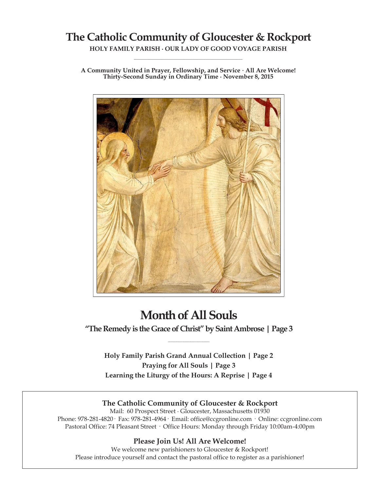## **The Catholic Community of Gloucester & Rockport**

**HOLY FAMILY PARISH ∙ OUR LADY OF GOOD VOYAGE PARISH \_\_\_\_\_\_\_\_\_\_\_\_\_\_\_\_\_\_\_\_\_\_\_\_\_\_\_\_\_\_\_\_\_\_\_\_\_\_\_\_\_\_\_\_\_\_\_\_\_\_**

**A Community United in Prayer, Fellowship, and Service ∙ All Are Welcome! Thirty-Second Sunday in Ordinary Time ∙ November 8, 2015**



# **Month of All Souls**

**"The Remedy is the Grace of Christ" by Saint Ambrose | Page 3 \_\_\_\_\_\_\_\_\_\_\_\_\_\_\_\_\_\_\_\_\_\_\_\_**

**Holy Family Parish Grand Annual Collection | Page 2 Praying for All Souls | Page 3 Learning the Liturgy of the Hours: A Reprise | Page 4**

## **The Catholic Community of Gloucester & Rockport**

Mail: 60 Prospect Street ∙ Gloucester, Massachusetts 01930 Phone: 978-281-4820· Fax: 978-281-4964· Email: office@ccgronline.com · Online: ccgronline.com Pastoral Office: 74 Pleasant Street · Office Hours: Monday through Friday 10:00am-4:00pm

## **Please Join Us! All Are Welcome!**

We welcome new parishioners to Gloucester & Rockport! Please introduce yourself and contact the pastoral office to register as a parishioner!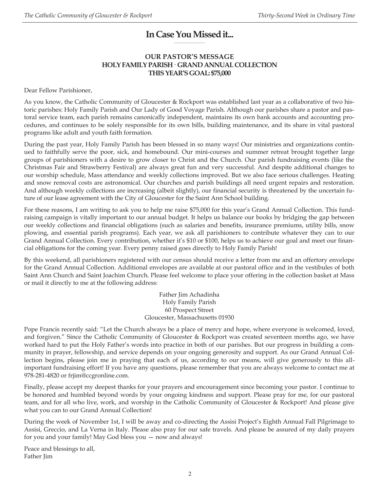#### **In Case You Missed it... \_\_\_\_\_\_\_\_\_\_\_\_\_\_\_\_\_\_\_\_**

## **OUR PASTOR'S MESSAGE HOLY FAMILY PARISH· GRAND ANNUAL COLLECTION THIS YEAR'S GOAL: \$75,000**

Dear Fellow Parishioner,

As you know, the Catholic Community of Gloucester & Rockport was established last year as a collaborative of two historic parishes: Holy Family Parish and Our Lady of Good Voyage Parish. Although our parishes share a pastor and pastoral service team, each parish remains canonically independent, maintains its own bank accounts and accounting procedures, and continues to be solely responsible for its own bills, building maintenance, and its share in vital pastoral programs like adult and youth faith formation.

During the past year, Holy Family Parish has been blessed in so many ways! Our ministries and organizations continued to faithfully serve the poor, sick, and homebound. Our mini-courses and summer retreat brought together large groups of parishioners with a desire to grow closer to Christ and the Church. Our parish fundraising events (like the Christmas Fair and Strawberry Festival) are always great fun and very successful. And despite additional changes to our worship schedule, Mass attendance and weekly collections improved. But we also face serious challenges. Heating and snow removal costs are astronomical. Our churches and parish buildings all need urgent repairs and restoration. And although weekly collections are increasing (albeit slightly), our financial security is threatened by the uncertain future of our lease agreement with the City of Gloucester for the Saint Ann School building.

For these reasons, I am writing to ask you to help me raise \$75,000 for this year's Grand Annual Collection. This fundraising campaign is vitally important to our annual budget. It helps us balance our books by bridging the gap between our weekly collections and financial obligations (such as salaries and benefits, insurance premiums, utility bills, snow plowing, and essential parish programs). Each year, we ask all parishioners to contribute whatever they can to our Grand Annual Collection. Every contribution, whether it's \$10 or \$100, helps us to achieve our goal and meet our financial obligations for the coming year. Every penny raised goes directly to Holy Family Parish!

By this weekend, all parishioners registered with our census should receive a letter from me and an offertory envelope for the Grand Annual Collection. Additional envelopes are available at our pastoral office and in the vestibules of both Saint Ann Church and Saint Joachim Church. Please feel welcome to place your offering in the collection basket at Mass or mail it directly to me at the following address:

> Father Jim Achadinha Holy Family Parish 60 Prospect Street Gloucester, Massachusetts 01930

Pope Francis recently said: "Let the Church always be a place of mercy and hope, where everyone is welcomed, loved, and forgiven." Since the Catholic Community of Gloucester & Rockport was created seventeen months ago, we have worked hard to put the Holy Father's words into practice in both of our parishes. But our progress in building a community in prayer, fellowship, and service depends on your ongoing generosity and support. As our Grand Annual Collection begins, please join me in praying that each of us, according to our means, will give generously to this allimportant fundraising effort! If you have any questions, please remember that you are always welcome to contact me at 978-281-4820 or frjim@ccgronline.com.

Finally, please accept my deepest thanks for your prayers and encouragement since becoming your pastor. I continue to be honored and humbled beyond words by your ongoing kindness and support. Please pray for me, for our pastoral team, and for all who live, work, and worship in the Catholic Community of Gloucester & Rockport! And please give what you can to our Grand Annual Collection!

During the week of November 1st, I will be away and co-directing the Assisi Project's Eighth Annual Fall Pilgrimage to Assisi, Greccio, and La Verna in Italy. Please also pray for our safe travels. And please be assured of my daily prayers for you and your family! May God bless you — now and always!

Peace and blessings to all, Father Jim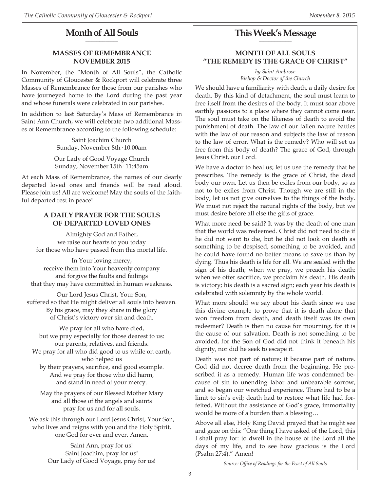#### **Month of All Souls \_\_\_\_\_\_\_\_\_\_\_\_\_\_\_\_\_\_\_\_\_**

## **MASSES OF REMEMBRANCE NOVEMBER 2015**

In November, the "Month of All Souls", the Catholic Community of Gloucester & Rockport will celebrate three Masses of Remembrance for those from our parishes who have journeyed home to the Lord during the past year and whose funerals were celebrated in our parishes.

In addition to last Saturday's Mass of Remembrance in Saint Ann Church, we will celebrate two additional Masses of Remembrance according to the following schedule:

> Saint Joachim Church Sunday, November 8th· 10:00am

Our Lady of Good Voyage Church Sunday, November 15th· 11:45am

At each Mass of Remembrance, the names of our dearly departed loved ones and friends will be read aloud. Please join us! All are welcome! May the souls of the faithful departed rest in peace!

## **A DAILY PRAYER FOR THE SOULS OF DEPARTED LOVED ONES**

Almighty God and Father, we raise our hearts to you today for those who have passed from this mortal life.

In Your loving mercy, receive them into Your heavenly company and forgive the faults and failings that they may have committed in human weakness.

Our Lord Jesus Christ, Your Son, suffered so that He might deliver all souls into heaven. By his grace, may they share in the glory of Christ's victory over sin and death.

We pray for all who have died, but we pray especially for those dearest to us: our parents, relatives, and friends. We pray for all who did good to us while on earth, who helped us by their prayers, sacrifice, and good example. And we pray for those who did harm, and stand in need of your mercy.

May the prayers of our Blessed Mother Mary and all those of the angels and saints pray for us and for all souls.

We ask this through our Lord Jesus Christ, Your Son, who lives and reigns with you and the Holy Spirit, one God for ever and ever. Amen.

> Saint Ann, pray for us! Saint Joachim, pray for us! Our Lady of Good Voyage, pray for us!

#### **This Week's Message \_\_\_\_\_\_\_\_\_\_\_\_\_\_\_\_\_\_\_\_\_**

## **MONTH OF ALL SOULS "THE REMEDY IS THE GRACE OF CHRIST"**

*by Saint Ambrose Bishop & Doctor of the Church*

We should have a familiarity with death, a daily desire for death. By this kind of detachment, the soul must learn to free itself from the desires of the body. It must soar above earthly passions to a place where they cannot come near. The soul must take on the likeness of death to avoid the punishment of death. The law of our fallen nature battles with the law of our reason and subjects the law of reason to the law of error. What is the remedy? Who will set us free from this body of death? The grace of God, through Jesus Christ, our Lord.

We have a doctor to heal us; let us use the remedy that he prescribes. The remedy is the grace of Christ, the dead body our own. Let us then be exiles from our body, so as not to be exiles from Christ. Though we are still in the body, let us not give ourselves to the things of the body. We must not reject the natural rights of the body, but we must desire before all else the gifts of grace.

What more need be said? It was by the death of one man that the world was redeemed. Christ did not need to die if he did not want to die, but he did not look on death as something to be despised, something to be avoided, and he could have found no better means to save us than by dying. Thus his death is life for all. We are sealed with the sign of his death; when we pray, we preach his death; when we offer sacrifice, we proclaim his death. His death is victory; his death is a sacred sign; each year his death is celebrated with solemnity by the whole world.

What more should we say about his death since we use this divine example to prove that it is death alone that won freedom from death, and death itself was its own redeemer? Death is then no cause for mourning, for it is the cause of our salvation. Death is not something to be avoided, for the Son of God did not think it beneath his dignity, nor did he seek to escape it.

Death was not part of nature; it became part of nature. God did not decree death from the beginning. He prescribed it as a remedy. Human life was condemned because of sin to unending labor and unbearable sorrow, and so began our wretched experience. There had to be a limit to sin's evil; death had to restore what life had forfeited. Without the assistance of God's grace, immortality would be more of a burden than a blessing…

Above all else, Holy King David prayed that he might see and gaze on this: "One thing I have asked of the Lord, this I shall pray for: to dwell in the house of the Lord all the days of my life, and to see how gracious is the Lord (Psalm 27:4)." Amen!

*Source: Office of Readings for the Feast of All Souls*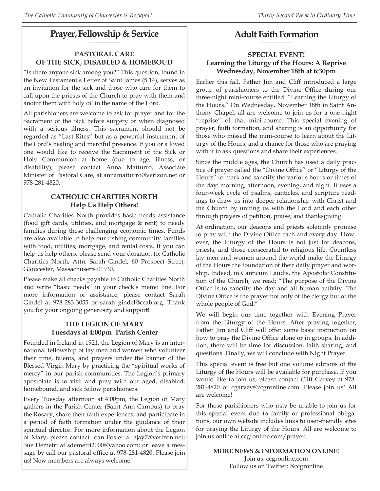#### **Prayer, Fellowship & Service \_\_\_\_\_\_\_\_\_\_\_\_\_\_\_\_\_\_\_\_**

## **PASTORAL CARE OF THE SICK, DISABLED & HOMEBOUD**

"Is there anyone sick among you?" This question, found in the New Testament's Letter of Saint James (5:14), serves as an invitation for the sick and those who care for them to call upon the priests of the Church to pray with them and anoint them with holy oil in the name of the Lord.

All parishioners are welcome to ask for prayer and for the Sacrament of the Sick before surgery or when diagnosed with a serious illness. This sacrament should not be regarded as "Last Rites" but as a powerful instrument of the Lord's healing and merciful presence. If you or a loved one would like to receive the Sacrament of the Sick or Holy Communion at home (due to age, illness, or disability), please contact Anna Matturro, Associate Minister of Pastoral Care, at annamatturro@verizon.net or 978-281-4820.

## **CATHOLIC CHARITIES NORTH Help Us Help Others!**

Catholic Charities North provides basic needs assistance (food gift cards, utilities, and mortgage & rent) to needy families during these challenging economic times. Funds are also available to help our fishing community families with food, utilities, mortgage, and rental costs. If you can help us help others, please send your donation to: Catholic Charities North, Attn: Sarah Gindel, 60 Prospect Street, Gloucester, Massachusetts 01930.

Please make all checks payable to Catholic Charities North and write "basic needs" in your check's memo line. For more information or assistance, please contact Sarah Gindel at 978-283-3055 or sarah\_gindel@ccab.org. Thank you for your ongoing generosity and support!

## **THE LEGION OF MARY Tuesdays at 4:00pm· Parish Center**

Founded in Ireland in 1921, the Legion of Mary is an international fellowship of lay men and women who volunteer their time, talents, and prayers under the banner of the Blessed Virgin Mary by practicing the "spiritual works of mercy" in our parish communities. The Legion's primary apostolate is to visit and pray with our aged, disabled, homebound, and sick fellow parishioners.

Every Tuesday afternoon at 4:00pm, the Legion of Mary gathers in the Parish Center (Saint Ann Campus) to pray the Rosary, share their faith experiences, and participate in a period of faith formation under the guidance of their spiritual director. For more information about the Legion of Mary, please contact Joan Foster at ajay7@verizon.net; Sue Demetri at sdemetri2000@yahoo.com; or leave a message by call our pastoral office at 978-281-4820. Please join us! New members are always welcome!

#### **Adult Faith Formation \_\_\_\_\_\_\_\_\_\_\_\_\_\_\_\_\_\_\_\_**

## **SPECIAL EVENT! Learning the Liturgy of the Hours: A Reprise Wednesday, November 18th at 6:30pm**

Earlier this fall, Father Jim and Cliff introduced a large group of parishioners to the Divine Office during our three-night mini-course entitled: "Learning the Liturgy of the Hours." On Wednesday, November 18th in Saint Anthony Chapel, all are welcome to join us for a one-night "reprise" of that mini-course. This special evening of prayer, faith formation, and sharing is an opportunity for those who missed the mini-course to learn about the Liturgy of the Hours; and a chance for those who are praying with it to ask questions and share their experiences.

Since the middle ages, the Church has used a daily practice of prayer called the "Divine Office" or "Liturgy of the Hours" to mark and sanctify the various hours or times of the day: morning, afternoon, evening, and night. It uses a four-week cycle of psalms, canticles, and scripture readings to draw us into deeper relationship with Christ and the Church by uniting us with the Lord and each other through prayers of petition, praise, and thanksgiving.

At ordination, our deacons and priests solemnly promise to pray with the Divine Office each and every day. However, the Liturgy of the Hours is not just for deacons, priests, and those consecrated to religious life. Countless lay men and women around the world make the Liturgy of the Hours the foundation of their daily prayer and worship. Indeed, in Canticum Laudis, the Apostolic Constitution of the Church, we read: "The purpose of the Divine Office is to sanctify the day and all human activity. The Divine Office is the prayer not only of the clergy but of the whole people of God."

We will begin our time together with Evening Prayer from the Liturgy of the Hours. After praying together, Father Jim and Cliff will offer some basic instruction on how to pray the Divine Office alone or in groups. In addition, there will be time for discussion, faith sharing, and questions. Finally, we will conclude with Night Prayer.

This special event is free but one volume editions of the Liturgy of the Hours will be available for purchase. If you would like to join us, please contact Cliff Garvey at 978- 281-4820 or cgarvey@ccgronline.com. Please join us! All are welcome!

For those parishioners who may be unable to join us for this special event due to family or professional obligations, our own website includes links to user-friendly sites for praying the Liturgy of the Hours. All are welcome to join us online at ccgronline.com/prayer.

> **MORE NEWS & INFORMATION ONLINE!** Join us: ccgronline.com Follow us on Twitter: @ccgronline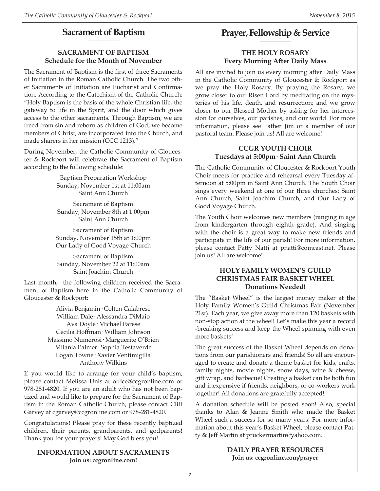#### **Sacrament of Baptism \_\_\_\_\_\_\_\_\_\_\_\_\_\_\_\_\_\_\_\_**

## **SACRAMENT OF BAPTISM Schedule for the Month of November**

The Sacrament of Baptism is the first of three Sacraments of Initiation in the Roman Catholic Church. The two other Sacraments of Initiation are Eucharist and Confirmation. According to the Catechism of the Catholic Church: "Holy Baptism is the basis of the whole Christian life, the gateway to life in the Spirit, and the door which gives access to the other sacraments. Through Baptism, we are freed from sin and reborn as children of God; we become members of Christ, are incorporated into the Church, and made sharers in her mission (CCC 1213)."

During November, the Catholic Community of Gloucester & Rockport will celebrate the Sacrament of Baptism according to the following schedule:

> Baptism Preparation Workshop Sunday, November 1st at 11:00am Saint Ann Church

Sacrament of Baptism Sunday, November 8th at 1:00pm Saint Ann Church

Sacrament of Baptism Sunday, November 15th at 1:00pm Our Lady of Good Voyage Church

Sacrament of Baptism Sunday, November 22 at 11:00am Saint Joachim Church

Last month, the following children received the Sacrament of Baptism here in the Catholic Community of Gloucester & Rockport:

> Alivia Benjamin· Colten Calabrese William Dale· Alessandra DiMaio Ava Doyle· Michael Farese Cecilia Hoffman· William Johnson Massimo Numerosi· Marguerite O'Brien Milania Palmer· Sophia Testaverde Logan Towne· Xavier Ventimigilia Anthony Wilkins

If you would like to arrange for your child's baptism, please contact Melissa Unis at office@ccgronline.com or 978-281-4820. If you are an adult who has not been baptized and would like to prepare for the Sacrament of Baptism in the Roman Catholic Church, please contact Cliff Garvey at cgarvey@ccgronline.com or 978-281-4820.

Congratulations! Please pray for these recently baptized children, their parents, grandparents, and godparents! Thank you for your prayers! May God bless you!

## **INFORMATION ABOUT SACRAMENTS Join us: ccgronline.com!**

#### **Prayer, Fellowship & Service \_\_\_\_\_\_\_\_\_\_\_\_\_\_\_\_\_\_\_\_**

## **THE HOLY ROSARY Every Morning After Daily Mass**

All are invited to join us every morning after Daily Mass in the Catholic Community of Gloucester & Rockport as we pray the Holy Rosary. By praying the Rosary, we grow closer to our Risen Lord by meditating on the mysteries of his life, death, and resurrection; and we grow closer to our Blessed Mother by asking for her intercession for ourselves, our parishes, and our world. For more information, please see Father Jim or a member of our pastoral team. Please join us! All are welcome!

## **CCGR YOUTH CHOIR Tuesdays at 5:00pm· Saint Ann Church**

The Catholic Community of Gloucester & Rockport Youth Choir meets for practice and rehearsal every Tuesday afternoon at 5:00pm in Saint Ann Church. The Youth Choir sings every weekend at one of our three churches: Saint Ann Church, Saint Joachim Church, and Our Lady of Good Voyage Church.

The Youth Choir welcomes new members (ranging in age from kindergarten through eighth grade). And singing with the choir is a great way to make new friends and participate in the life of our parish! For more information, please contact Patty Natti at pnatti@comcast.net. Please join us! All are welcome!

## **HOLY FAMILY WOMEN'S GUILD CHRISTMAS FAIR BASKET WHEEL Donations Needed!**

The "Basket Wheel" is the largest money maker at the Holy Family Women's Guild Christmas Fair (November 21st). Each year, we give away more than 120 baskets with non-stop action at the wheel! Let's make this year a record -breaking success and keep the Wheel spinning with even more baskets!

The great success of the Basket Wheel depends on donations from our parishioners and friends! So all are encouraged to create and donate a theme basket for kids, crafts, family nights, movie nights, snow days, wine & cheese, gift wrap, and barbecue! Creating a basket can be both fun and inexpensive if friends, neighbors, or co-workers work together! All donations are gratefully accepted!

A donation schedule will be posted soon! Also, special thanks to Alan & Jeanne Smith who made the Basket Wheel such a success for so many years! For more information about this year's Basket Wheel, please contact Patty & Jeff Martin at pruckermartin@yahoo.com.

#### **DAILY PRAYER RESOURCES Join us: ccgronline.com/prayer**